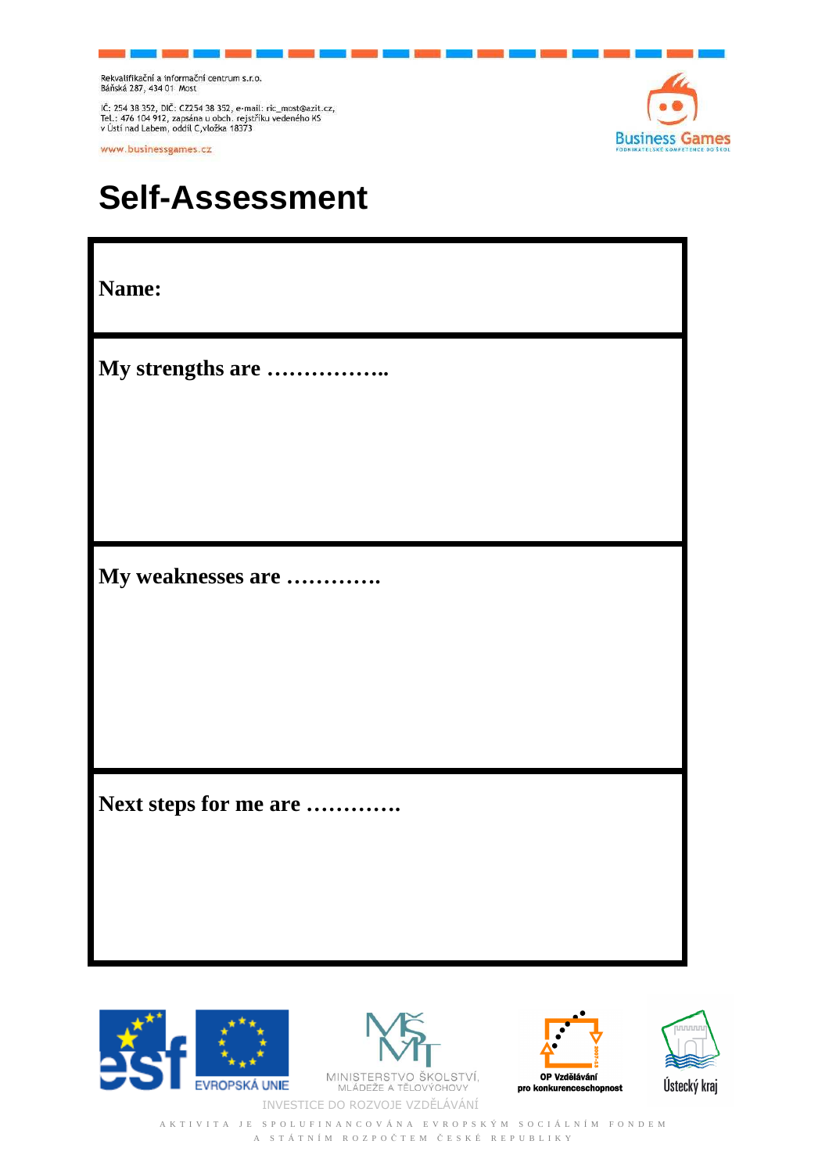Rekvalifikační a informační centrum s.r.o.<br>Báňská 287, 434 01 Most

IČ: 254 38 352, DIČ: CZ254 38 352, e-mail: ric\_most@azit.cz,<br>Tel.: 476 104 912, zapsána u obch. rejstříku vedeného KS<br>v Ústí nad Labem, oddíl C,vložka 18373

www.businessgames.cz



## **Self-Assessment**

| Name:                 |
|-----------------------|
| My strengths are      |
|                       |
|                       |
| My weaknesses are     |
|                       |
|                       |
| Next steps for me are |
|                       |





MINISTERSTVO ŠKOLSTVÍ,<br>MLÁDEŽE A TĚLOVÝCHOVY INVESTICE DO ROZVOJE VZDĚLÁVÁNÍ





A K T I V I T A J E S P O L U F I N A N C O V Á N A E V R O P S K Ý M S O C I Á L N Í M F O N D E M A S T Á T N Í M R O Z P O Č T E M Č E S K É R E P U B L I K Y